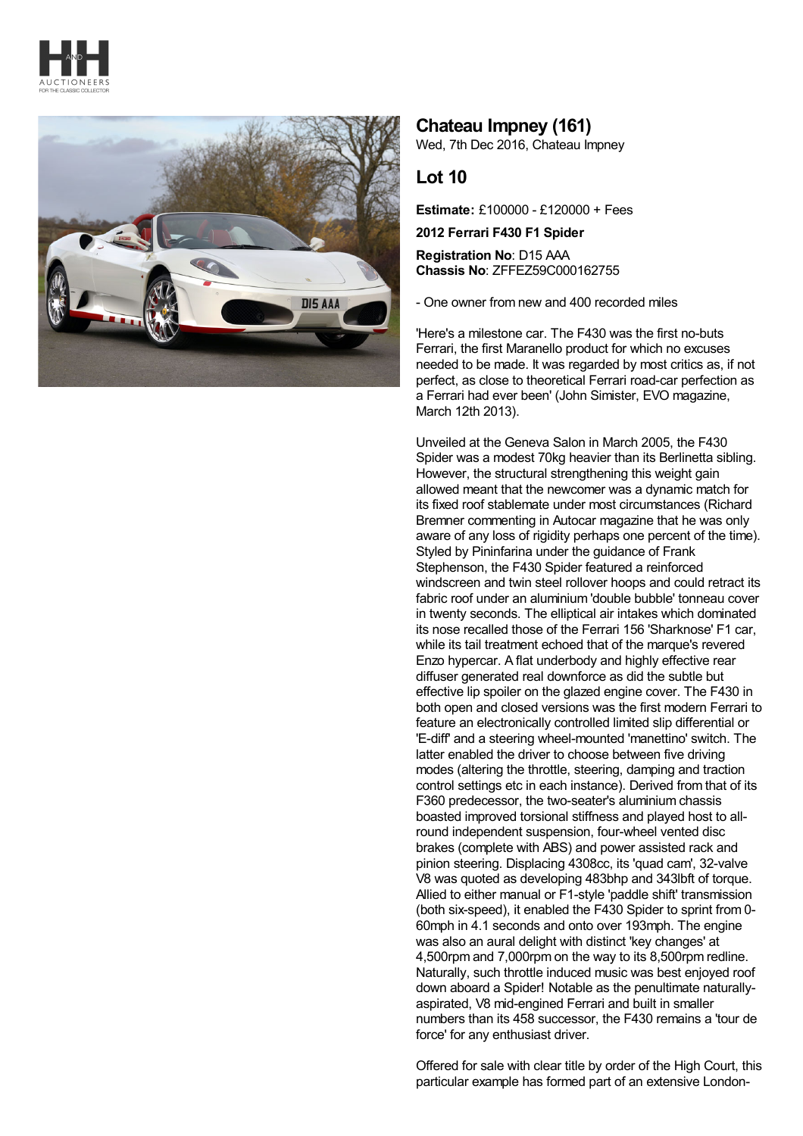



## **Chateau Impney (161)**

Wed, 7th Dec 2016, Chateau Impney

## **Lot 10**

**Estimate:** £100000 - £120000 + Fees

**2012 Ferrari F430 F1 Spider**

**Registration No**: D15 AAA **Chassis No**: ZFFEZ59C000162755

- One owner from new and 400 recorded miles

'Here's a milestone car. The F430 was the first no-buts Ferrari, the first Maranello product for which no excuses needed to be made. It was regarded by most critics as, if not perfect, as close to theoretical Ferrari road-car perfection as a Ferrari had ever been' (John Simister, EVO magazine, March 12th 2013).

Unveiled at the Geneva Salon in March 2005, the F430 Spider was a modest 70kg heavier than its Berlinetta sibling. However, the structural strengthening this weight gain allowed meant that the newcomer was a dynamic match for its fixed roof stablemate under most circumstances (Richard Bremner commenting in Autocar magazine that he was only aware of any loss of rigidity perhaps one percent of the time). Styled by Pininfarina under the guidance of Frank Stephenson, the F430 Spider featured a reinforced windscreen and twin steel rollover hoops and could retract its fabric roof under an aluminium 'double bubble' tonneau cover in twenty seconds. The elliptical air intakes which dominated its nose recalled those of the Ferrari 156 'Sharknose' F1 car, while its tail treatment echoed that of the marque's revered Enzo hypercar. A flat underbody and highly effective rear diffuser generated real downforce as did the subtle but effective lip spoiler on the glazed engine cover. The F430 in both open and closed versions was the first modern Ferrari to feature an electronically controlled limited slip differential or 'E-diff' and a steering wheel-mounted 'manettino' switch. The latter enabled the driver to choose between five driving modes (altering the throttle, steering, damping and traction control settings etc in each instance). Derived from that of its F360 predecessor, the two-seater's aluminium chassis boasted improved torsional stiffness and played host to allround independent suspension, four-wheel vented disc brakes (complete with ABS) and power assisted rack and pinion steering. Displacing 4308cc, its 'quad cam', 32-valve V8 was quoted as developing 483bhp and 343lbft of torque. Allied to either manual or F1-style 'paddle shift' transmission (both six-speed), it enabled the F430 Spider to sprint from 0- 60mph in 4.1 seconds and onto over 193mph. The engine was also an aural delight with distinct 'key changes' at 4,500rpm and 7,000rpm on the way to its 8,500rpm redline. Naturally, such throttle induced music was best enjoyed roof down aboard a Spider! Notable as the penultimate naturallyaspirated, V8 mid-engined Ferrari and built in smaller numbers than its 458 successor, the F430 remains a 'tour de force' for any enthusiast driver.

Offered for sale with clear title by order of the High Court, this particular example has formed part of an extensive London-